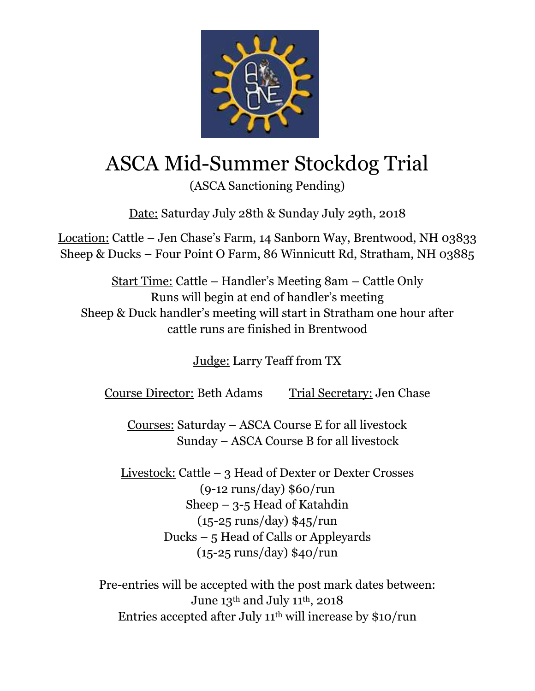

## ASCA Mid-Summer Stockdog Trial

(ASCA Sanctioning Pending)

Date: Saturday July 28th & Sunday July 29th, 2018

Location: Cattle – Jen Chase's Farm, 14 Sanborn Way, Brentwood, NH 03833 Sheep & Ducks – Four Point O Farm, 86 Winnicutt Rd, Stratham, NH 03885

Start Time: Cattle – Handler's Meeting 8am – Cattle Only Runs will begin at end of handler's meeting Sheep & Duck handler's meeting will start in Stratham one hour after cattle runs are finished in Brentwood

Judge: Larry Teaff from TX

Course Director: Beth Adams Trial Secretary: Jen Chase

Courses: Saturday – ASCA Course E for all livestock Sunday – ASCA Course B for all livestock

Livestock: Cattle – 3 Head of Dexter or Dexter Crosses (9-12 runs/day) \$60/run Sheep – 3-5 Head of Katahdin (15-25 runs/day) \$45/run Ducks – 5 Head of Calls or Appleyards (15-25 runs/day) \$40/run

Pre-entries will be accepted with the post mark dates between: June  $13^{\text{th}}$  and July 11 $^{\text{th}}$ , 2018 Entries accepted after July 11 th will increase by \$10/run